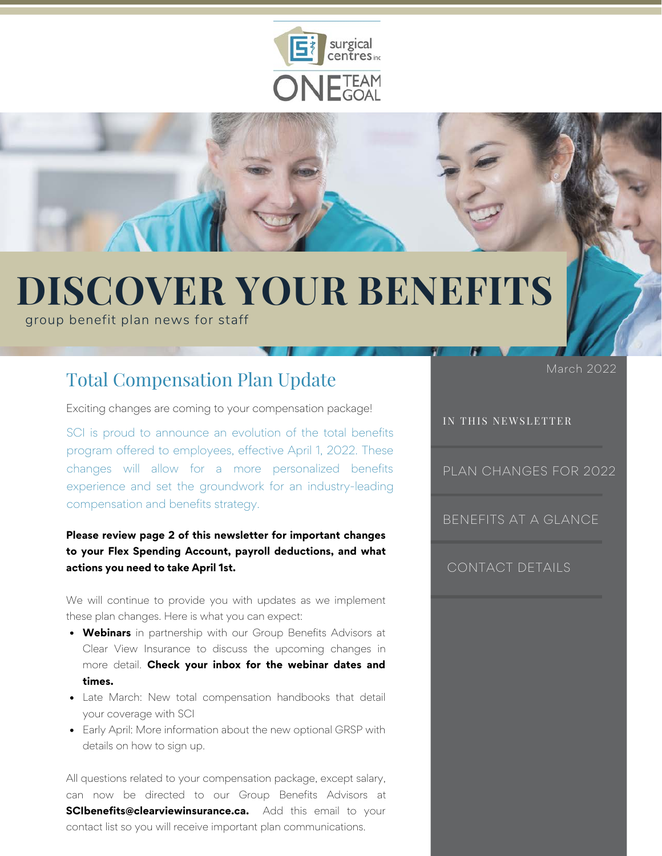



# **DISCOVER YOUR BENEFITS**

group benefit plan news for staff

## Total Compensation Plan Update March 2022

Exciting changes are coming to your compensation package!

SCI is proud to announce an evolution of the total benefits program offered to employees, effective April 1, 2022. These changes will allow for a more personalized benefits experience and set the groundwork for an industry-leading compensation and benefits strategy.

#### **Please review page 2 of this newsletter for important changes to your Flex Spending Account, payroll deductions, and what actions you need to take April 1st.**

We will continue to provide you with updates as we implement these plan changes. Here is what you can expect:

- **Webinars** in partnership with our Group Benefits Advisors at Clear View Insurance to discuss the upcoming changes in more detail. **Check your inbox for the webinar dates and times.**
- Late March: New total compensation handbooks that detail your coverage with SCI
- Early April: More information about the new optional GRSP with details on how to sign up.

All questions related to your compensation package, except salary, can now be directed to our Group Benefits Advisors at **SCIbenefits@clearviewinsurance.ca.** Add this email to your contact list so you will receive important plan communications.

#### IN THIS NEWSLETTER

[PLAN CHANGES FOR 2022](#page-1-0)

[BENEFITS AT A GLANCE](#page-2-0)

#### [CONTACT DETAILS](#page-3-0)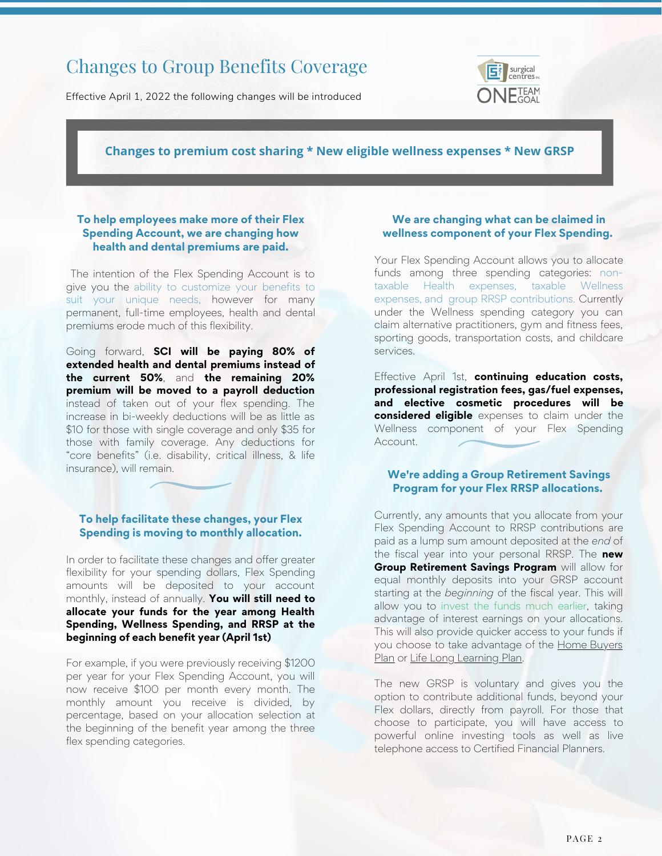## <span id="page-1-0"></span>Changes to Group Benefits Coverage

Effective April 1, 2022 the following changes will be introduced



#### **Changes to premium cost sharing \* New eligible wellness expenses \* New GRSP**

#### **To help employees make more of their Flex Spending Account, we are changing how health and dental premiums are paid.**

The intention of the Flex Spending Account is to give you the ability to customize your benefits to suit your unique needs, however for many permanent, full-time employees, health and dental premiums erode much of this flexibility.

Going forward, **SCI will be paying 80% of extended health and dental premiums instead of the current 50%**, and **the remaining 20% premium will be moved to a payroll deduction** instead of taken out of your flex spending. The increase in bi-weekly deductions will be as little as \$10 for those with single coverage and only \$35 for those with family coverage. Any deductions for "core benefits" (i.e. disability, critical illness, & life insurance), will remain.

#### **To help facilitate these changes, your Flex Spending is moving to monthly allocation.**

In order to facilitate these changes and offer greater flexibility for your spending dollars, Flex Spending amounts will be deposited to your account monthly, instead of annually. **You will still need to allocate your funds for the year among Health Spending, Wellness Spending, and RRSP at the beginning of each benefit year (April 1st)**

For example, if you were previously receiving \$1200 per year for your Flex Spending Account, you will now receive \$100 per month every month. The monthly amount you receive is divided, by percentage, based on your allocation selection at the beginning of the benefit year among the three flex spending categories.

#### **We are changing what can be claimed in wellness component of your Flex Spending.**

Your Flex Spending Account allows you to allocate funds among three spending categories: nontaxable Health expenses, taxable Wellness expenses, and group RRSP contributions. Currently under the Wellness spending category you can claim alternative practitioners, gym and fitness fees, sporting goods, transportation costs, and childcare services.

Effective April 1st, **continuing education costs, professional registration fees, gas/fuel expenses, and elective cosmetic procedures will be considered eligible** expenses to claim under the Wellness component of your Flex Spending Account.

#### **We're adding a Group Retirement Savings Program for your Flex RRSP allocations.**

Currently, any amounts that you allocate from your Flex Spending Account to RRSP contributions are paid as a lump sum amount deposited at the *end* of the fiscal year into your personal RRSP. The **new Group Retirement Savings Program** will allow for equal monthly deposits into your GRSP account starting at the *beginning* of the fiscal year. This will allow you to invest the funds much earlier, taking advantage of interest earnings on your allocations. This will also provide quicker access to your funds if [you choose to take advantage of the Home Buyers](https://www.canada.ca/en/revenue-agency/services/tax/individuals/topics/rrsps-related-plans/what-home-buyers-plan.html) Plan or [Life Long Learning Plan.](https://www.canada.ca/en/revenue-agency/services/tax/individuals/topics/rrsps-related-plans/lifelong-learning-plan.html)

The new GRSP is voluntary and gives you the option to contribute additional funds, beyond your Flex dollars, directly from payroll. For those that choose to participate, you will have access to powerful online investing tools as well as live telephone access to Certified Financial Planners.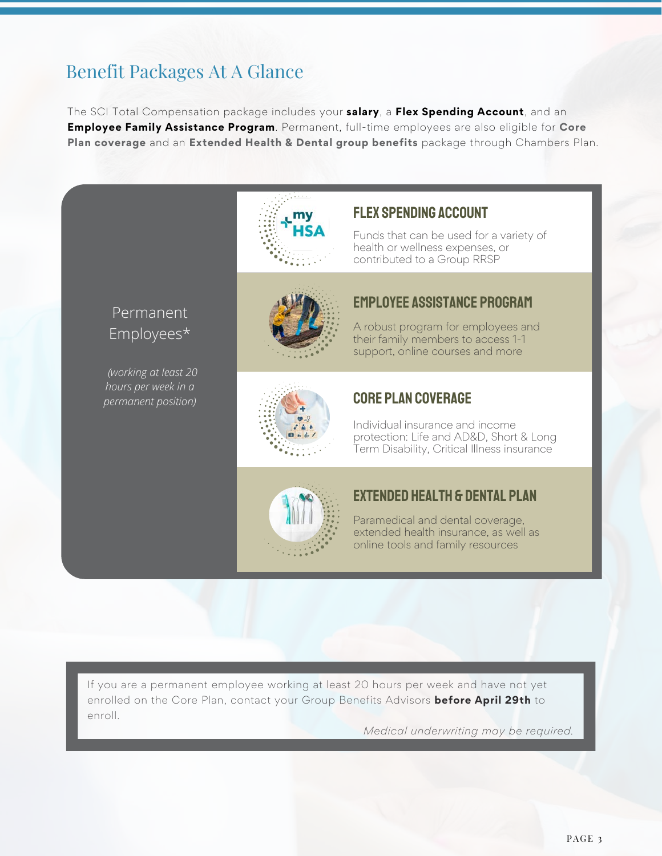## <span id="page-2-0"></span>Benefit Packages At A Glance

The SCI Total Compensation package includes your **salary**, a **Flex Spending Account**, and an **Employee Family Assistance Program**. Permanent, full-time employees are also eligible for **Core Plan coverage** and an **Extended Health & Dental group benefits** package through Chambers Plan.



 *(working at least 20 hours per week in a permanent position)*



#### flex spending account

Funds that can be used for a variety of health or wellness expenses, or contributed to a Group RRSP



#### employee assistance program

A robust program for employees and their family members to access 1-1 support, online courses and more



#### core plan coverage

Individual insurance and income protection: Life and AD&D, Short & Long Term Disability, Critical Illness insurance



#### extended health & dental plan

Paramedical and dental coverage, extended health insurance, as well as online tools and family resources

If you are a permanent employee working at least 20 hours per week and have not yet enrolled on the Core Plan, contact your Group Benefits Advisors **before April 29th** to enroll.

*Medical underwriting may be required.*